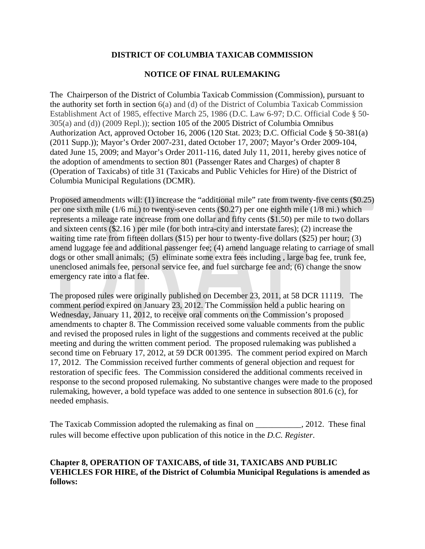# **DISTRICT OF COLUMBIA TAXICAB COMMISSION**

# **NOTICE OF FINAL RULEMAKING**

The Chairperson of the District of Columbia Taxicab Commission (Commission), pursuant to the authority set forth in section 6(a) and (d) of the District of Columbia Taxicab Commission Establishment Act of 1985, effective March 25, 1986 (D.C. Law 6-97; D.C. Official Code § 50- 305(a) and (d)) (2009 Repl.)); section 105 of the 2005 District of Columbia Omnibus Authorization Act, approved October 16, 2006 (120 Stat. 2023; D.C. Official Code § 50-381(a) (2011 Supp.)); Mayor's Order 2007-231, dated October 17, 2007; Mayor's Order 2009-104, dated June 15, 2009; and Mayor's Order 2011-116, dated July 11, 2011, hereby gives notice of the adoption of amendments to section 801 (Passenger Rates and Charges) of chapter 8 (Operation of Taxicabs) of title 31 (Taxicabs and Public Vehicles for Hire) of the District of Columbia Municipal Regulations (DCMR).

Proposed amendments will: (1) increase the "additional mile" rate from twenty-five cents (\$0.25) per one sixth mile (1/6 mi.) to twenty-seven cents (\$0.27) per one eighth mile (1/8 mi.) which represents a mileage rate increase from one dollar and fifty cents (\$1.50) per mile to two dollars and sixteen cents (\$2.16 ) per mile (for both intra-city and interstate fares); (2) increase the waiting time rate from fifteen dollars (\$15) per hour to twenty-five dollars (\$25) per hour; (3) amend luggage fee and additional passenger fee; (4) amend language relating to carriage of small dogs or other small animals; (5) eliminate some extra fees including , large bag fee, trunk fee, unenclosed animals fee, personal service fee, and fuel surcharge fee and; (6) change the snow emergency rate into a flat fee.

The proposed rules were originally published on December 23, 2011, at 58 DCR 11119. The comment period expired on January 23, 2012. The Commission held a public hearing on Wednesday, January 11, 2012, to receive oral comments on the Commission's proposed amendments to chapter 8. The Commission received some valuable comments from the public and revised the proposed rules in light of the suggestions and comments received at the public meeting and during the written comment period. The proposed rulemaking was published a second time on February 17, 2012, at 59 DCR 001395. The comment period expired on March 17, 2012. The Commission received further comments of general objection and request for restoration of specific fees. The Commission considered the additional comments received in response to the second proposed rulemaking. No substantive changes were made to the proposed rulemaking, however, a bold typeface was added to one sentence in subsection 801.6 (c), for needed emphasis.

The Taxicab Commission adopted the rulemaking as final on \_\_\_\_\_\_\_\_\_\_, 2012. These final rules will become effective upon publication of this notice in the *D.C. Register*.

# **Chapter 8, OPERATION OF TAXICABS, of title 31, TAXICABS AND PUBLIC VEHICLES FOR HIRE, of the District of Columbia Municipal Regulations is amended as follows:**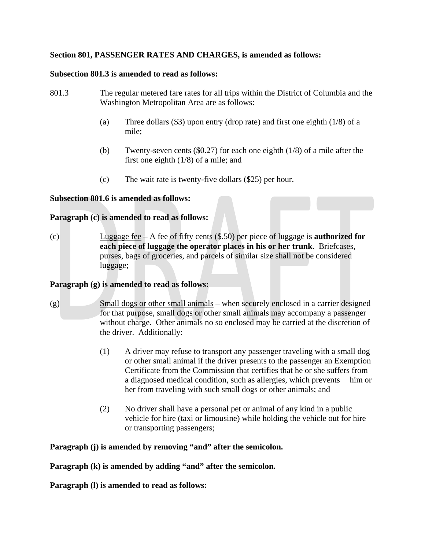## **Section 801, PASSENGER RATES AND CHARGES, is amended as follows:**

### **Subsection 801.3 is amended to read as follows:**

- 801.3 The regular metered fare rates for all trips within the District of Columbia and the Washington Metropolitan Area are as follows:
	- (a) Three dollars (\$3) upon entry (drop rate) and first one eighth (1/8) of a mile;
	- (b) Twenty-seven cents (\$0.27) for each one eighth (1/8) of a mile after the first one eighth (1/8) of a mile; and
	- (c) The wait rate is twenty-five dollars (\$25) per hour.

## **Subsection 801.6 is amended as follows:**

#### **Paragraph (c) is amended to read as follows:**

(c) Luggage fee – A fee of fifty cents (\$.50) per piece of luggage is **authorized for each piece of luggage the operator places in his or her trunk**. Briefcases, purses, bags of groceries, and parcels of similar size shall not be considered luggage;

## **Paragraph (g) is amended to read as follows:**

- (g) Small dogs or other small animals when securely enclosed in a carrier designed for that purpose, small dogs or other small animals may accompany a passenger without charge. Other animals no so enclosed may be carried at the discretion of the driver. Additionally:
	- (1) A driver may refuse to transport any passenger traveling with a small dog or other small animal if the driver presents to the passenger an Exemption Certificate from the Commission that certifies that he or she suffers from a diagnosed medical condition, such as allergies, which prevents him or her from traveling with such small dogs or other animals; and
	- (2) No driver shall have a personal pet or animal of any kind in a public vehicle for hire (taxi or limousine) while holding the vehicle out for hire or transporting passengers;

## **Paragraph (j) is amended by removing "and" after the semicolon.**

**Paragraph (k) is amended by adding "and" after the semicolon.**

**Paragraph (l) is amended to read as follows:**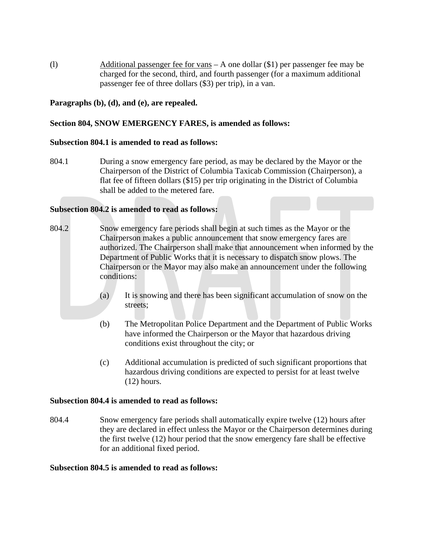(l) Additional passenger fee for vans – A one dollar (\$1) per passenger fee may be charged for the second, third, and fourth passenger (for a maximum additional passenger fee of three dollars (\$3) per trip), in a van.

**Paragraphs (b), (d), and (e), are repealed.** 

## **Section 804, SNOW EMERGENCY FARES, is amended as follows:**

## **Subsection 804.1 is amended to read as follows:**

804.1 During a snow emergency fare period, as may be declared by the Mayor or the Chairperson of the District of Columbia Taxicab Commission (Chairperson), a flat fee of fifteen dollars (\$15) per trip originating in the District of Columbia shall be added to the metered fare.

## **Subsection 804.2 is amended to read as follows:**

- 804.2 Snow emergency fare periods shall begin at such times as the Mayor or the Chairperson makes a public announcement that snow emergency fares are authorized. The Chairperson shall make that announcement when informed by the Department of Public Works that it is necessary to dispatch snow plows. The Chairperson or the Mayor may also make an announcement under the following conditions:
	- (a) It is snowing and there has been significant accumulation of snow on the streets;
	- (b) The Metropolitan Police Department and the Department of Public Works have informed the Chairperson or the Mayor that hazardous driving conditions exist throughout the city; or
	- (c) Additional accumulation is predicted of such significant proportions that hazardous driving conditions are expected to persist for at least twelve (12) hours.

## **Subsection 804.4 is amended to read as follows:**

804.4 Snow emergency fare periods shall automatically expire twelve (12) hours after they are declared in effect unless the Mayor or the Chairperson determines during the first twelve (12) hour period that the snow emergency fare shall be effective for an additional fixed period.

## **Subsection 804.5 is amended to read as follows:**